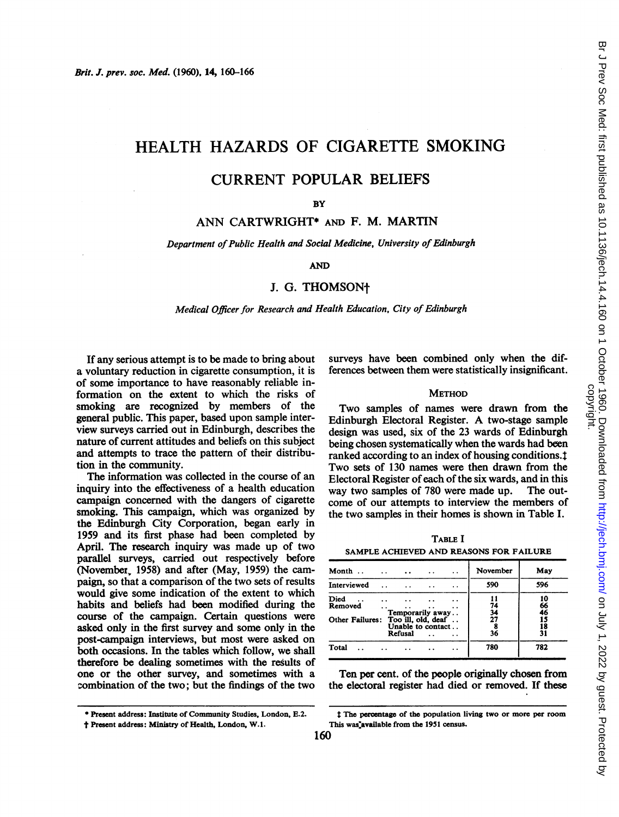# HEALTH HAZARDS OF CIGARETTE SMOKING

## CURRENT POPULAR BELIEFS

#### **BY**

## ANN CARTWRIGHT\* AND F. M. MARTIN

#### Department of Public Health and Social Medicine, University of Edinburgh

AND

## J. G. THOMSONt

### Medical Officer for Research and Health Education, City of Edinburgh

If any serious attempt is to be made to bring about a voluntary reduction in cigarette consumption, it is of some importance to have reasonably reliable information on the extent to which the risks of smoking are recognized by members of the general public. This paper, based upon sample interview surveys carried out in Edinburgh, describes the nature of current attitudes and beliefs on this subject and attempts to trace the pattern of their distribution in the community.

The information was collected in the course of an inquiry into the effectiveness of a health education campaign concerned with the dangers of cigarette smoking. This campaign, which was organized by the Edinburgh City Corporation, began early in 1959 and its first phase had been completed by April. The research inquiry was made up of two parallel surveys, carried out respectively before (November, 1958) and after (May, 1959) the campaign, so that a comparison of the two sets of results would give some indication of the extent to which habits and beliefs had been modified during the course of the campaign. Certain questions were asked only in the first survey and some only in the post-campaign interviews, but most were asked on both occasions. In the tables which follow, we shall therefore be dealing sometimes with the results of one or the other survey, and sometimes with a combination of the two; but the findings of the two

\* Present address: Institute of Community Studies, London, E.2.

surveys have been combined only when the differences between them were statistically insignificant.

## **METHOD**

Two samples of names were drawn from the Edinburgh Electoral Register. A two-stage sample design was used, six of the 23 wards of Edinburgh being chosen systematically when the wards had been ranked according to an index of housing conditions.<sup>1</sup> Two sets of 130 names were then drawn from the Electoral Register of each of the six wards, and in this way two samples of 780 were made up. The outcome of our attempts to interview the members of the two samples in their homes is shown in Table I.

| <b>TABLE I</b>                          |  |  |  |  |  |
|-----------------------------------------|--|--|--|--|--|
| SAMPLE ACHIEVED AND REASONS FOR FAILURE |  |  |  |  |  |

| Month                              | $\cdot$ . |                                                                        | $\ddot{\phantom{0}}$        | November                               | May                                     |
|------------------------------------|-----------|------------------------------------------------------------------------|-----------------------------|----------------------------------------|-----------------------------------------|
| Interviewed                        |           |                                                                        | $\cdot$ .                   | 590                                    | 596                                     |
| Died<br>Removed<br>Other Failures: |           | Temporarily away<br>Too ill, old, deaf<br>Unable to contact<br>Refusal | . .<br>$\ddot{\phantom{0}}$ | 11<br>74<br>$\frac{34}{27}$<br>8<br>36 | 10<br>66<br>46<br>15<br>$\frac{18}{31}$ |
| Total                              |           |                                                                        | . .                         | 780                                    | 782                                     |

Ten per cent. of the people originally chosen from the electoral register had died or removed. If these

t Present address: Ministry of Health, London, W.1.

<sup>t</sup> The percentage of the population living two or more per room This was available from the 1951 census.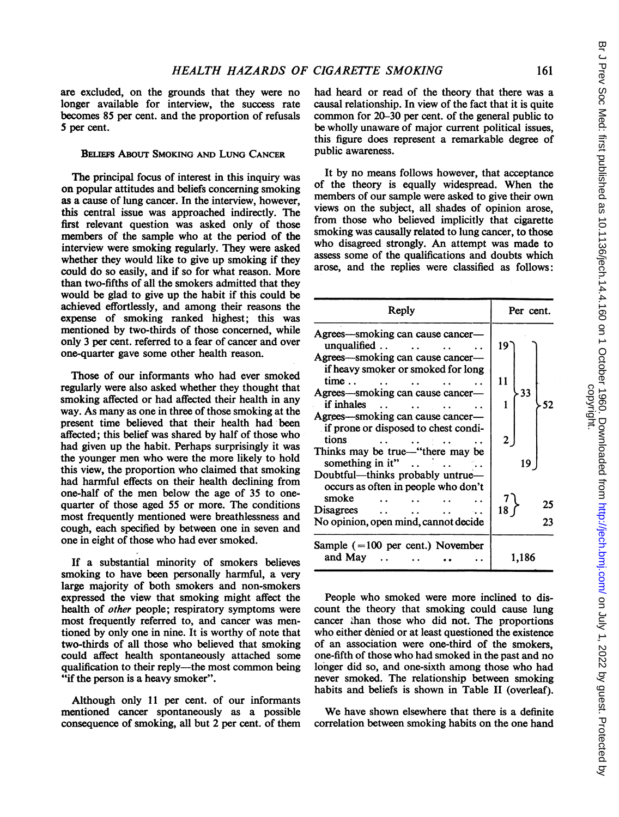are excluded, on the grounds that they were no longer available for interview, the success rate becomes 85 per cent. and the proportion of refusals 5 per cent.

## BELIEFS ABOUT SMOKING AND LUNG CANCER

The principal focus of interest in this inquiry was on popular attitudes and beliefs concerning smoking as a cause of lung cancer. In the interview, however, this central issue was approached indirectly. The first relevant question was asked only of those members of the sample who at the period of the interview were smoking regularly. They were asked whether they would like to give up smoking if they could do so easily, and if so for what reason. More than two-fifths of all the smokers admitted that they would be glad to give up the habit if this could be achieved effortlessly, and among their reasons the expense of smoking ranked highest; this was mentioned by two-thirds of those concerned, while only 3 per cent. referred to a fear of cancer and over one-quarter gave some other health reason.

Those of our informants who had ever smoked regularly were also asked whether they thought that smoking affected or had affected their health in any way. As many as one in three of those smoking at the present time believed that their health had been affected; this belief was shared by half of those who had given up the habit. Perhaps surprisingly it was the younger men who were the more likely to hold this view, the proportion who claimed that smoking had harmful effects on their health declining from one-half of the men below the age of 35 to onequarter of those aged 55 or more. The conditions most frequently mentioned were breathlessness and cough, each specified by between one in seven and one in eight of those who had ever smoked.

If a substantial minority of smokers believes smoking to have been personally harmful, <sup>a</sup> very large majority of both smokers and non-smokers expressed the view that smoking might affect the health of *other* people; respiratory symptoms were most frequently referred to, and cancer was mentioned by only one in nine. It is worthy of note that two-thirds of all those who believed that smoking could affect health spontaneously attached some qualification to their reply—the most common being "if the person is a heavy smoker".

Although only 11 per cent. of our informants mentioned cancer spontaneously as a possible consequence of smoking, all but 2 per cent. of them had heard or read of the theory that there was a causal relationship. In view of the fact that it is quite common for 20-30 per cent. of the general public to be wholly unaware of major current political issues, this figure does represent a remarkable degree of public awareness.

It by no means follows however, that acceptance of the theory is equally widespread. When the members of our sample were asked to give their own views on the subject, all shades of opinion arose, from those who believed implicitly that cigarette smoking was causally related to lung cancer, to those who disagreed strongly. An attempt was made to assess some of the qualifications and doubts which arose, and the replies were classified as follows:

| Reply                                                                                  | Per cent. |    |
|----------------------------------------------------------------------------------------|-----------|----|
| Agrees—smoking can cause cancer—<br>unqualified<br>Agrees-smoking can cause cancer-    | 19        |    |
| if heavy smoker or smoked for long<br>time<br>Agrees—smoking can cause cancer—         | 11<br>33  |    |
| if inhales<br>Agrees—smoking can cause cancer—<br>if prone or disposed to chest condi- |           | 52 |
| tions<br>Thinks may be true—"there may be<br>something in it"                          | 19        |    |
| Doubtful—thinks probably untrue—<br>occurs as often in people who don't<br>smoke       |           |    |
| Disagrees<br>No opinion, open mind, cannot decide                                      | 18        | つつ |
| Sample $(=100$ per cent.) November<br>and May                                          | 1,186     |    |

People who smoked were more inclined to discount the theory that smoking could cause lung cancer than those who did not. The proportions who either denied or at least questioned the existence of an association were one-third of the smokers, one-fifth of those who had smoked in the past and no longer did so, and one-sixth among those who had never smoked. The relationship between smoking habits and beliefs is shown in Table II (overleaf).

We have shown elsewhere that there is a definite correlation between smoking habits on the one hand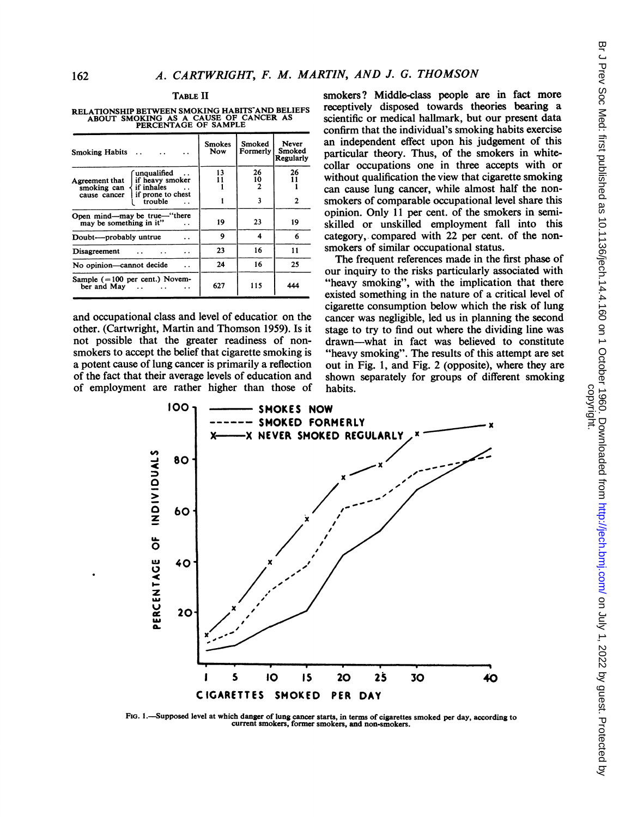## TABLE II

RELATIONSHIP BETWEEN SMOKING HABITS'AND BELIEFS ABOUT SMOKING AS A CAUSE OF CANCER AS PERCENTAGE OF SAMPLE

| Smoking Habits<br>$\cdots$                                                                                                                            | <b>Smokes</b><br><b>Now</b> | Smoked<br>Formerly | Never<br>Smoked<br>Regularly |
|-------------------------------------------------------------------------------------------------------------------------------------------------------|-----------------------------|--------------------|------------------------------|
| unqualified<br>if heavy smoker<br>Agreement that<br>if inhales<br>smoking can<br>if prone to chest<br>cause cancer<br>trouble<br>$\ddot{\phantom{a}}$ | 13<br>11                    | 26<br>10<br>3      | 26<br>11<br>2                |
| Open mind-may be true-"there<br>may be something in it"<br>. .                                                                                        | 19                          | 23                 | 19                           |
| Doubt-probably untrue                                                                                                                                 | 9                           |                    | 6                            |
| Disagreement<br>. .                                                                                                                                   | 23                          | 16                 | 11                           |
| No opinion-cannot decide<br>$\ddot{\phantom{0}}$                                                                                                      | 24                          | 16                 | 25                           |
| Sample $(=100$ per cent.) Novem-<br>ber and May<br>$\ddot{\phantom{0}}$                                                                               | 627                         | 115                | 444                          |

and occupational class and level of education on the other. (Cartwright, Martin and Thomson 1959). Is it not possible that the greater readiness of nonsmokers to accept the belief that cigarette smoking is a potent cause of lung cancer is primarily a reflection of the fact that their average levels of education and of employment are rather higher than those of

smokers ? Middle-class people are in fact more receptively disposed towards theories bearing a scientific or medical hallmark, but our present data confirm that the individual's smoking habits exercise an independent effect upon his judgement of this particular theory. Thus, of the smokers in whitecollar occupations one in three accepts with or without qualification the view that cigarette smoking can cause lung cancer, while almost half the nonsmokers of comparable occupational level share this opinion. Only 11 per cent. of the smokers in semiskilled or unskilled employment fall into this category, compared with 22 per cent. of the nonsmokers of similar occupational status.

The frequent references made in the first phase of our inquiry to the risks particularly associated with "heavy smoking", with the implication that there existed something in the nature of a critical level of cigarette consumption below which the risk of lung cancer was negligible, led us in planning the second stage to try to find out where the dividing line was drawn-what in fact was believed to constitute "heavy smoking". The results of this attempt are set out in Fig. 1, and Fig. 2 (opposite), where they are shown separately for groups of different smoking habits.



FIG. 1.-Supposed level at which danger of lung cancer starts, in terms of cigarettes smoked per day, according to current smokers, former smokers, and non-smokers.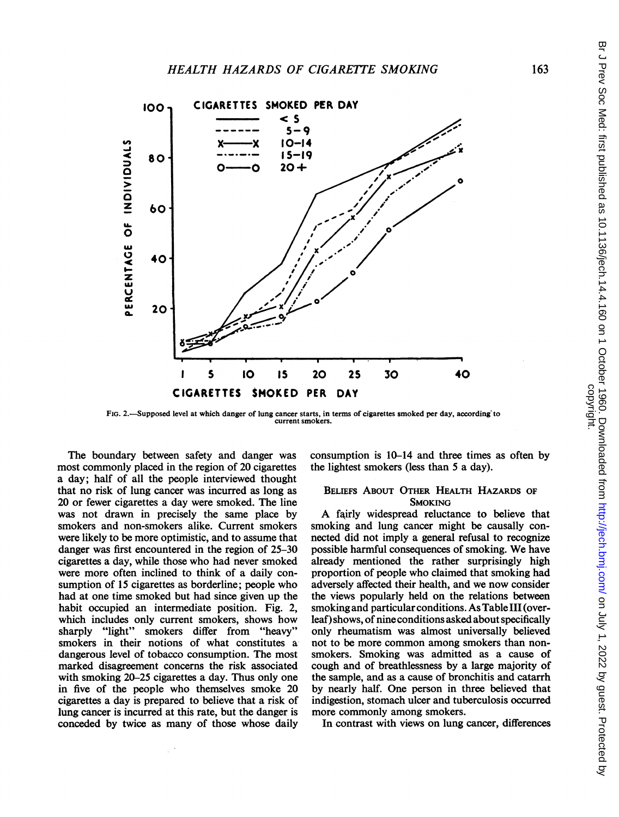

FIG. 2.-Supposed level at which danger of lung cancer starts, in terms of cigarettes smoked per day, according to current smokers.

The boundary between safety and danger was most commonly placed in the region of 20 cigarettes a day; half of all the people interviewed thought that no risk of lung cancer was incurred as long as 20 or fewer cigarettes a day were smoked. The line was not drawn in precisely the same place by smokers and non-smokers alike. Current smokers were likely to be more optimistic, and to assume that danger was first encountered in the region of 25-30 cigarettes a day, while those who had never smoked were more often inclined to think of a daily consumption of 15 cigarettes as borderline; people who had at one time smoked but had since given up the habit occupied an intermediate position. Fig. 2, which includes only current smokers, shows bow sharply "light" smokers differ from "heavy" smokers in their notions of what constitutes a dangerous level of tobacco consumption. The most marked disagreement concerns the risk associated with smoking 20-25 cigarettes a day. Thus only one in five of the people who themselves smoke 20 cigarettes a day is prepared to believe that a risk of lung cancer is incurred at this rate, but the danger is conceded by twice as many of those whose daily consumption is 10-14 and three times as often by the lightest smokers (less than 5 a day).

## BELIEFS ABOUT OTHER HEALTH HAZARDS OF **SMOKING**

A fairly widespread reluctance to believe that smoking and lung cancer might be causally connected did not imply a general refusal to recognize possible harmful consequences of smoking. We have already mentioned the rather surprisingly high proportion of people who claimed that smoking had adversely affected their health, and we now consider the views popularly held on the relations between smoking and particular conditions. As Table III (overleaf)shows, of nineconditions asked about specifically only rheumatism was almost universally believed not to be more common among smokers than nonsmokers. Smoking was admitted as a cause of cough and of breathlessness by a large majority of the sample, and as a cause of bronchitis and catarrh by nearly half. One person in three believed that indigestion, stomach ulcer and tuberculosis occurred more commonly among smokers.

In contrast with views on lung cancer, differences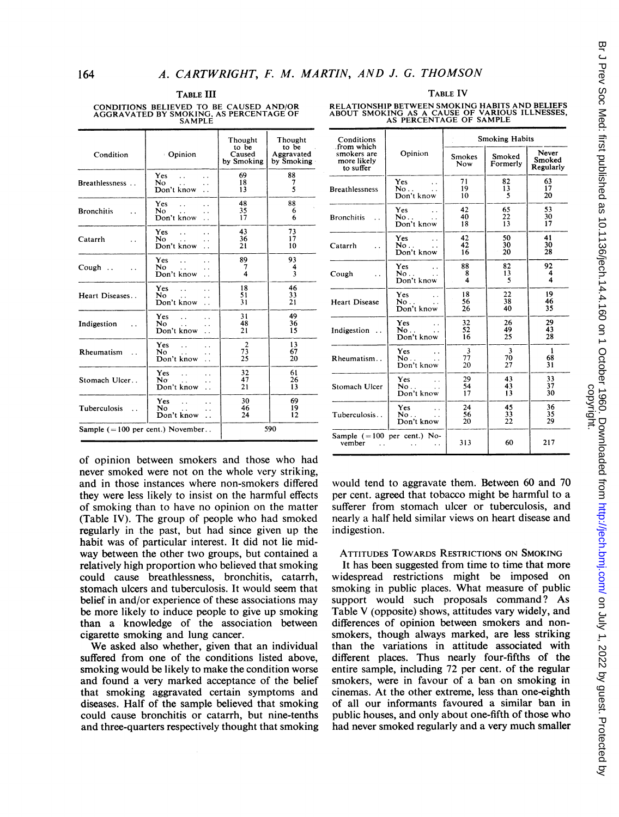| Opinion                                                                                        | Thought<br>to be<br>Caused<br>by Smoking | Thought<br>to be<br>Aggravated<br>by Smoking · |  |
|------------------------------------------------------------------------------------------------|------------------------------------------|------------------------------------------------|--|
| Yes<br>$\ddot{\phantom{a}}$<br>Breathlessness<br>No<br>Don't know<br>. .                       |                                          | 88<br>7<br>5                                   |  |
| Yes<br>$\sim$<br>$\ddotsc$<br>No<br>$\ddot{\phantom{0}}$<br>Don't know<br>$\ddot{\phantom{0}}$ | 48<br>35<br>17                           | 88<br>6<br>6                                   |  |
| Yes<br>i.<br>$\ddot{\phantom{0}}$<br>No<br>Don't know<br>. .                                   | 43<br>36<br>21                           | 73<br>17<br>10                                 |  |
| Yes<br>$\sim$<br>. .<br>No.<br>$\ddot{\phantom{a}}$<br>Don't know<br>$\ddot{\phantom{0}}$      | 89<br>7<br>4                             | 93<br>4<br>3                                   |  |
| Yes<br>$\ddot{\phantom{0}}$<br>. .<br>No<br>. .<br>Don't know<br>. .                           | 18<br>51<br>31                           | 46<br>33<br>21                                 |  |
| Yes<br>$\ddot{\phantom{a}}$<br>. .<br>No<br>. .<br>Don't know<br>$\ddot{\phantom{0}}$          | 31<br>48<br>21                           | 49<br>36<br>15                                 |  |
| Yes<br>$\ddot{\phantom{a}}$<br>$\ddot{\phantom{0}}$<br>No<br>Don't know<br>. .                 | $\overline{2}$<br>73<br>25               | 13<br>67<br>20                                 |  |
| Yes<br>$\ddot{\phantom{0}}$<br>Nσ<br>. .<br>Don't know<br>. .                                  | 32<br>47<br>21                           | 61<br>26<br>13                                 |  |
| <b>Yes</b><br>$\ddot{\phantom{a}}$<br>. .<br>No<br>Don't know<br>$\ddotsc$                     | 30<br>46<br>24                           | 69<br>19<br>12                                 |  |
|                                                                                                |                                          | 69<br>18<br>13                                 |  |

TABLE III CONDITIONS BELIEVED TO BE CAUSED AND/OR AGGRAVATED BY SMOKING, AS PERCENTAGE OF

of opinion between smokers and those who had never smoked were not on the whole very striking, and in those instances where non-smokers differed they were less likely to insist on the harmful effects of smoking than to have no opinion on the matter (Table IV). The group of people who had smoked regularly in the past, but had since given up the habit was of particular interest. It did not lie midway between the other two groups, but contained a relatively high proportion who believed that smoking could cause breathlessness, bronchitis, catarrh, stomach ulcers and tuberculosis. It would seem that belief in and/or experience of these associations may be more likely to induce people to give up smoking than a knowledge of the association between cigarette smoking and lung cancer.

We asked also whether, given that an individual suffered from one of the conditions listed above, smoking would be likely to make the condition worse and found a very marked acceptance of the belief that smoking aggravated certain symptoms and diseases. Half of the sample believed that smoking could cause bronchitis or catarrh, but nine-tenths and three-quarters respectively thought that smoking

|                                         | RELATIONSHIP BETWEEN SMOKING HABITS AND BELIEFS<br>ABOUT SMOKING AS A CAUSE OF VARIOUS ILLNESSES.<br>AS PERCENTAGE OF SAMPLE |                       |                    |                                    |  |
|-----------------------------------------|------------------------------------------------------------------------------------------------------------------------------|-----------------------|--------------------|------------------------------------|--|
| Conditions<br>from which                |                                                                                                                              | <b>Smoking Habits</b> |                    |                                    |  |
| smokers are<br>more likely<br>to suffer | Opinion                                                                                                                      | <b>Smokes</b><br>Now  | Smoked<br>Formerly | Never<br>Smoked<br>Regularly       |  |
| <b>Breathlessness</b>                   | Yes<br>$\ddot{\phantom{a}}$<br>No<br>Don't know                                                                              | 71<br>19<br>10        | 82<br>13<br>5      | 63<br>17<br>20                     |  |
| <b>Bronchitis</b>                       | Yes<br>$\sim$ $\sim$<br>No<br>Don't know                                                                                     | 42<br>40<br>18        | 65<br>22<br>13     | 53<br>30<br>17                     |  |
| Catarrh<br>. .                          | Yes<br>$\ddotsc$<br>No<br>Don't know                                                                                         | 42<br>42<br>16        | 50<br>30<br>20     | 41<br>30<br>28                     |  |
| Cough                                   | Yes<br>$\ddot{\phantom{a}}$<br>No.<br>Don't know                                                                             | 88<br>8<br>4          | 82<br>13<br>5      | 92<br>4<br>$\overline{\mathbf{4}}$ |  |
| <b>Heart Disease</b>                    | <b>Yes</b><br>$\cdots$<br>No<br>. .<br>Don't know                                                                            | 18<br>56<br>26        | 22<br>38<br>40     | 19<br>46<br>35                     |  |
| Indigestion                             | Yes<br>$\cdot$ .<br>No<br>Don't know                                                                                         | 32<br>52<br>16        | 26<br>49<br>25     | 29<br>43<br>28                     |  |
| Rheumatism                              | <b>Yes</b><br>$\ddotsc$<br>No<br>$\ddot{\phantom{1}}$<br>Don't know                                                          | 3<br>77<br>20         | 3<br>70<br>27      | $\mathbf{1}$<br>68<br>31           |  |
| Stomach Ulcer                           | Yes<br>$\ddot{\phantom{0}}$<br>$No.$ .<br>$\ddot{\phantom{0}}$<br>Don't know                                                 | 29<br>54<br>17        | 43<br>43<br>13     | 33<br>37<br>30                     |  |
| Tuberculosis                            | Yes<br>$\ddot{\phantom{a}}$<br>No<br>$\ddot{\phantom{0}}$<br>Don't know                                                      | 24<br>56<br>20        | 45<br>33<br>22     | 36<br>35<br>29                     |  |

TABLE IV

would tend to aggravate them. Between 60 and 70 per cent. agreed that tobacco might be harmful to a sufferer from stomach ulcer or tuberculosis, and nearly a half held similar views on heart disease and indigestion.

vember .. .. ... 313  $\begin{vmatrix} 313 & 60 & 217 \end{vmatrix}$ 

Don't know

Sample  $( =100$  per cent.) No-

### ATTITUDES TOWARDS RESTRICTIONS ON SMOKING

It has been suggested from time to time that more widespread restrictions might be imposed on smoking in public places. What measure of public support would such proposals command? As Table V (opposite) shows, attitudes vary widely, and differences of opinion between smokers and nonsmokers, though always marked, are less striking than the variations in attitude associated with different places. Thus nearly four-fifths of the entire sample, including 72 per cent. of the regular smokers, were in favour of a ban on smoking in cinemas. At the other extreme, less than one-eighth of all our informants favoured a similar ban in public houses, and only about one-fifth of those who had never smoked regularly and a very much smaller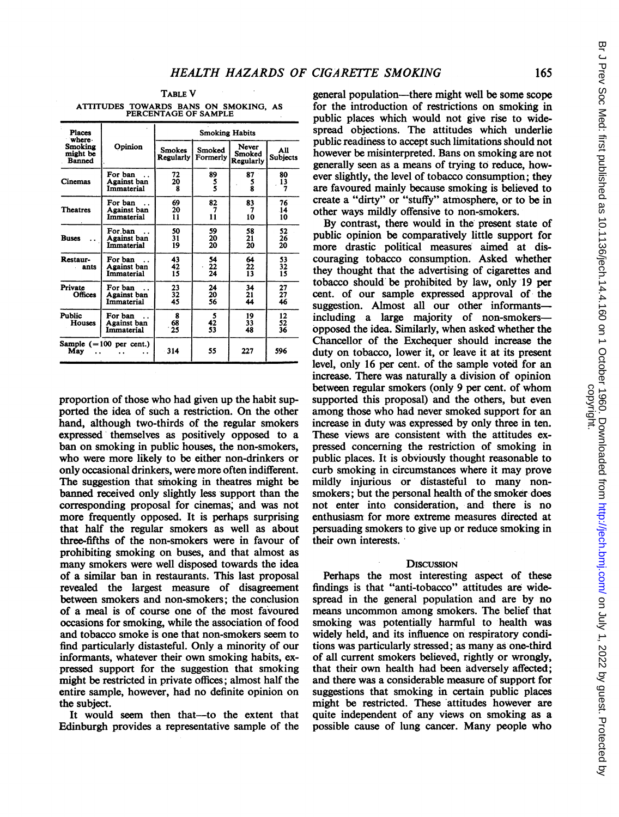| <b>Places</b><br>where.       |                                                              | <b>Smoking Habits</b>      |                       |                                     |                 |  |  |
|-------------------------------|--------------------------------------------------------------|----------------------------|-----------------------|-------------------------------------|-----------------|--|--|
| Smoking<br>might be<br>Banned | Opinion                                                      | <b>Smokes</b><br>Regularly | Smoked<br>Formerly    | <b>Never</b><br>Smoked<br>Regularly | A11<br>Subjects |  |  |
| Cinemas                       | For ban<br>Against ban<br>Immaterial                         | 72<br>20<br>я              | 89<br>$\frac{5}{5}$   | 87<br>ر<br>8                        | 80<br>13<br>7   |  |  |
| <b>Theatres</b>               | For ban<br>$\ddot{\phantom{0}}$<br>Against ban<br>Immaterial | 69<br>20<br>11             | 82<br>7<br>11         | 83<br>7<br>10                       | 76<br>14<br>10  |  |  |
| <b>Buses</b>                  | For han<br>Against ban<br>Immaterial                         | 50<br>31<br>19             | 59<br>20<br>20        | 58<br>21<br>20                      | 52<br>26<br>20  |  |  |
| Restaur-<br>ants              | For ban<br>Against ban<br>Immaterial                         | 43<br>42<br>15             | 54<br>$\frac{22}{24}$ | 64<br>22<br>13                      | 53<br>32<br>15  |  |  |
| Private<br><b>Offices</b>     | For ban<br>Against ban<br>Immaterial                         | 23<br>32<br>45             | 24<br>20<br>56        | 34<br>21<br>44                      | 27<br>27<br>46  |  |  |
| Public<br><b>Houses</b>       | For ban<br>$\ddot{\phantom{a}}$<br>Against ban<br>Immaterial | 8<br>68<br>25              | 5<br>42<br>53         | 19<br>33<br>48                      | 12<br>52<br>36  |  |  |
| May                           | Sample $(=100$ per cent.)                                    | 314                        | 55                    | 227                                 | 596             |  |  |

TABLE V ATTITUDES TOWARDS BANS ON SMOKING, AS PERCENTAGE OF SAMPLE

proportion of those who had given up the habit supported the idea of such a restriction. On the other hand, although two-thirds of the regular smokers expressed themselves as positively opposed to a ban on smoking in public houses, the non-smokers, who were more likely to be either non-drinkers or only occasional'drinkers, were more often indifferent. The suggestion that smoking in theatres might be banned received only slightly less support than the corresponding proposal for cinemas; and was not more frequently opposed. It is perhaps surprising that half the regular smokers as well as about three-fifths of the non-smokers were in favour of prohibiting smoking on buses, and that almost as many smokers were well disposed towards the idea of a similar ban in restaurants. This last proposal revealed the largest measure of disagreement between smokers and non-smokers; the conclusion of a meal is of course one of the most favoured occasions for smoking, while the association of food and tobacco smoke is one that non-smokers seem to find particularly distasteful. Only a minority of our informants, whatever their own smoking habits, expressed support for the suggestion that smoking might be restricted in private offices; almost half the entire sample, however, had no definite opinion on the subject.

It would seem then that-to the extent that Edinburgh provides a representative sample of the

general population-there might well be some scope for the introduction of restrictions on smoking in public places which would not give rise to widespread objections. The attitudes which underlie public readiness to accept such limitations should not however be misinterpreted. Bans on smoking are not generally seen as a means of trying to reduce, however slightly, the level of tobacco consumption; they are favoured mainly because smoking is believed to create a "dirty" or "stuffy" atmosphere, or to be in other ways mildly offensive to non-smokers.

By contrast, there would in the present state of public opinion be comparatively little support for more drastic political measures' aimed at discouraging tobacco consumption. Asked whether they thought that the advertising of cigarettes and tobacco should be prohibited by law, only 19 per cent. of our sample expressed approval of- the suggestion. Almost all our other informantsincluding a large majority of non-smokersopposed the idea. Similarly, when asked whether the Chancellor of the Exchequer should increase the duty on tobacco, lower it, or leave it at its present level, only 16 per cent. of the sample voted for an increase. There was naturally a division of opinion between regular smokers (only 9 per cent. of whom supported this proposal) and the others, but even among those who had never smoked support for an increase in duty was expressed by only three in ten. These views are consistent with the attitudes expressed concerning the restriction of smoking in public places. It is obviously thought reasonable to curb smoking in circumstances where it may prove mildly injurious or distasteful to many nonsmokers; but the personal health of the smoker does not enter into consideration, and there is no enthusiasm for more extreme measures directed at persuading smokers to give up or reduce smoking in their own interests.

#### **DISCUSSION**

Perhaps the most interesting aspect of these findings is that "anti-tobacco" attitudes are widespread in the general population and are by no means uncommon among smokers. The belief that smoking was potentially harmful to health was widely held, and its influence on respiratory conditions was particularly stressed; as many as one-third of all current smokers believed, rightly or wrongly, that their own health had been adversely affected; and there was a considerable measure of support for suggestions that smoking in certain public places might be restricted. These 'attitudes however are quite independent of any views on smoking as a possible cause of lung cancer. Many people who